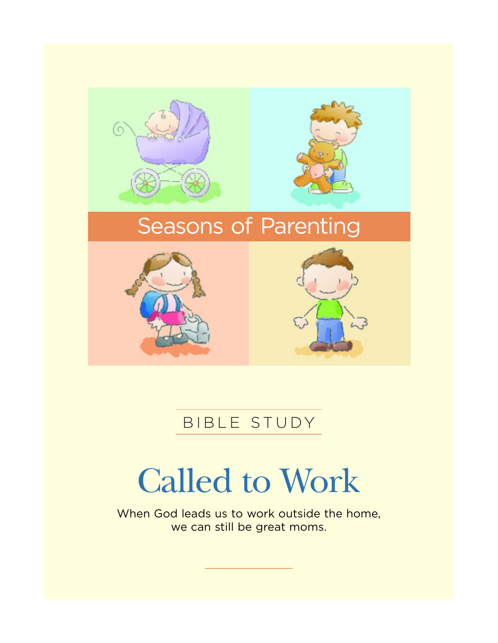

## BIBLE STUDY

# Called to Work

When God leads us to work outside the home, we can still be great moms.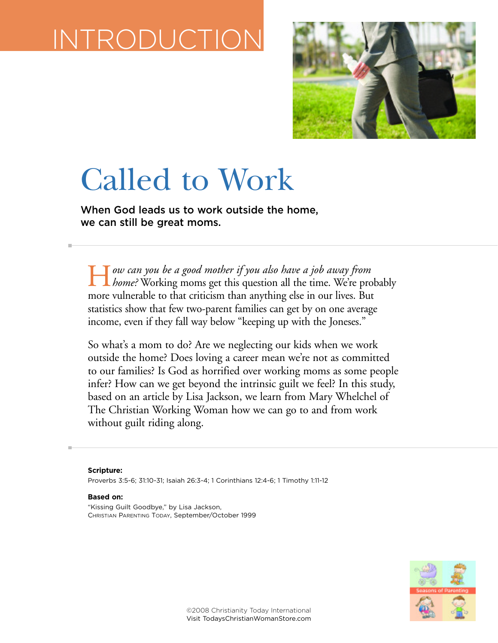# INTRODUCTION



# Called to Work

**When God leads us to work outside the home, we can still be great moms.**

H*ow can you be a good mother if you also have a job away from home?* Working moms get this question all the time. We're probably more vulnerable to that criticism than anything else in our lives. But statistics show that few two-parent families can get by on one average income, even if they fall way below "keeping up with the Joneses."

So what's a mom to do? Are we neglecting our kids when we work outside the home? Does loving a career mean we're not as committed to our families? Is God as horrified over working moms as some people infer? How can we get beyond the intrinsic guilt we feel? In this study, based on an article by Lisa Jackson, we learn from Mary Whelchel of The Christian Working Woman how we can go to and from work without guilt riding along.

**Scripture:** Proverbs 3:5-6; 31:10-31; Isaiah 26:3-4; 1 Corinthians 12:4-6; 1 Timothy 1:11-12

#### **Based on:**

"Kissing Guilt Goodbye," by Lisa Jackson, CHRISTIAN PARENTING TODAY, September/October 1999

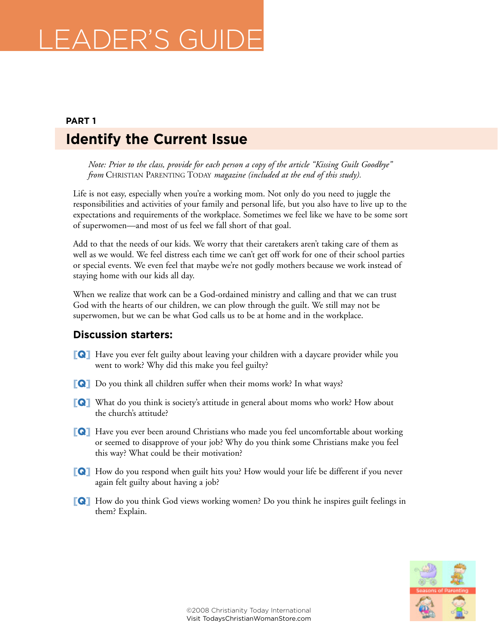## LEADER'S GUIDE

## **Identify the Current Issue PART 1**

*Note: Prior to the class, provide for each person a copy of the article "Kissing Guilt Goodbye" from* CHRISTIAN PARENTING TODAY *magazine (included at the end of this study).*

Life is not easy, especially when you're a working mom. Not only do you need to juggle the responsibilities and activities of your family and personal life, but you also have to live up to the expectations and requirements of the workplace. Sometimes we feel like we have to be some sort of superwomen—and most of us feel we fall short of that goal.

Add to that the needs of our kids. We worry that their caretakers aren't taking care of them as well as we would. We feel distress each time we can't get off work for one of their school parties or special events. We even feel that maybe we're not godly mothers because we work instead of staying home with our kids all day.

When we realize that work can be a God-ordained ministry and calling and that we can trust God with the hearts of our children, we can plow through the guilt. We still may not be superwomen, but we can be what God calls us to be at home and in the workplace.

## **Discussion starters:**

- **[Q]** Have you ever felt guilty about leaving your children with a daycare provider while you went to work? Why did this make you feel guilty?
- **[Q]** Do you think all children suffer when their moms work? In what ways?
- **[Q]** What do you think is society's attitude in general about moms who work? How about the church's attitude?
- **[Q]** Have you ever been around Christians who made you feel uncomfortable about working or seemed to disapprove of your job? Why do you think some Christians make you feel this way? What could be their motivation?
- **[Q]** How do you respond when guilt hits you? How would your life be different if you never again felt guilty about having a job?
- **[Q]** How do you think God views working women? Do you think he inspires guilt feelings in them? Explain.

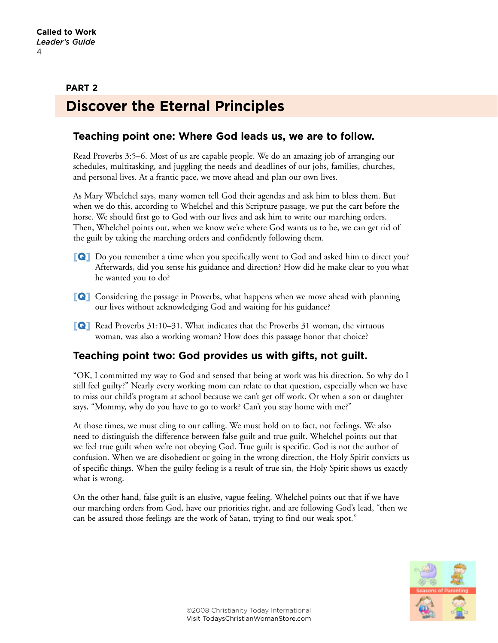## **Discover the Eternal Principles PART 2**

## **Teaching point one: Where God leads us, we are to follow.**

Read Proverbs 3:5–6. Most of us are capable people. We do an amazing job of arranging our schedules, multitasking, and juggling the needs and deadlines of our jobs, families, churches, and personal lives. At a frantic pace, we move ahead and plan our own lives.

As Mary Whelchel says, many women tell God their agendas and ask him to bless them. But when we do this, according to Whelchel and this Scripture passage, we put the cart before the horse. We should first go to God with our lives and ask him to write our marching orders. Then, Whelchel points out, when we know we're where God wants us to be, we can get rid of the guilt by taking the marching orders and confidently following them.

- **[Q]** Do you remember a time when you specifically went to God and asked him to direct you? Afterwards, did you sense his guidance and direction? How did he make clear to you what he wanted you to do?
- **[Q]** Considering the passage in Proverbs, what happens when we move ahead with planning our lives without acknowledging God and waiting for his guidance?
- **[Q]** Read Proverbs 31:10–31. What indicates that the Proverbs 31 woman, the virtuous woman, was also a working woman? How does this passage honor that choice?

## **Teaching point two: God provides us with gifts, not guilt.**

"OK, I committed my way to God and sensed that being at work was his direction. So why do I still feel guilty?" Nearly every working mom can relate to that question, especially when we have to miss our child's program at school because we can't get off work. Or when a son or daughter says, "Mommy, why do you have to go to work? Can't you stay home with me?"

At those times, we must cling to our calling. We must hold on to fact, not feelings. We also need to distinguish the difference between false guilt and true guilt. Whelchel points out that we feel true guilt when we're not obeying God. True guilt is specific. God is not the author of confusion. When we are disobedient or going in the wrong direction, the Holy Spirit convicts us of specific things. When the guilty feeling is a result of true sin, the Holy Spirit shows us exactly what is wrong.

On the other hand, false guilt is an elusive, vague feeling. Whelchel points out that if we have our marching orders from God, have our priorities right, and are following God's lead, "then we can be assured those feelings are the work of Satan, trying to find our weak spot."

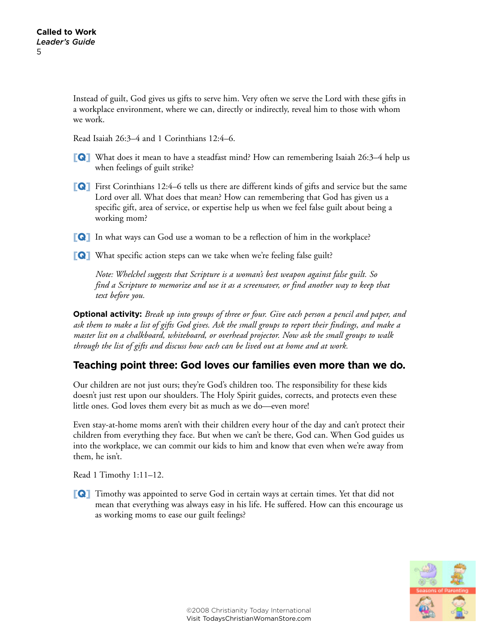Instead of guilt, God gives us gifts to serve him. Very often we serve the Lord with these gifts in a workplace environment, where we can, directly or indirectly, reveal him to those with whom we work.

Read Isaiah 26:3–4 and 1 Corinthians 12:4–6.

- **[Q]** What does it mean to have a steadfast mind? How can remembering Isaiah 26:3–4 help us when feelings of guilt strike?
- **[Q]** First Corinthians 12:4–6 tells us there are different kinds of gifts and service but the same Lord over all. What does that mean? How can remembering that God has given us a specific gift, area of service, or expertise help us when we feel false guilt about being a working mom?
- **[Q]** In what ways can God use a woman to be a reflection of him in the workplace?
- **[Q]** What specific action steps can we take when we're feeling false guilt?

*Note: Whelchel suggests that Scripture is a woman's best weapon against false guilt. So find a Scripture to memorize and use it as a screensaver, or find another way to keep that text before you.*

**Optional activity:** *Break up into groups of three or four. Give each person a pencil and paper, and ask them to make a list of gifts God gives. Ask the small groups to report their findings, and make a master list on a chalkboard, whiteboard, or overhead projector. Now ask the small groups to walk through the list of gifts and discuss how each can be lived out at home and at work.*

## **Teaching point three: God loves our families even more than we do.**

Our children are not just ours; they're God's children too. The responsibility for these kids doesn't just rest upon our shoulders. The Holy Spirit guides, corrects, and protects even these little ones. God loves them every bit as much as we do—even more!

Even stay-at-home moms aren't with their children every hour of the day and can't protect their children from everything they face. But when we can't be there, God can. When God guides us into the workplace, we can commit our kids to him and know that even when we're away from them, he isn't.

Read 1 Timothy 1:11–12.

**[Q]** Timothy was appointed to serve God in certain ways at certain times. Yet that did not mean that everything was always easy in his life. He suffered. How can this encourage us as working moms to ease our guilt feelings?

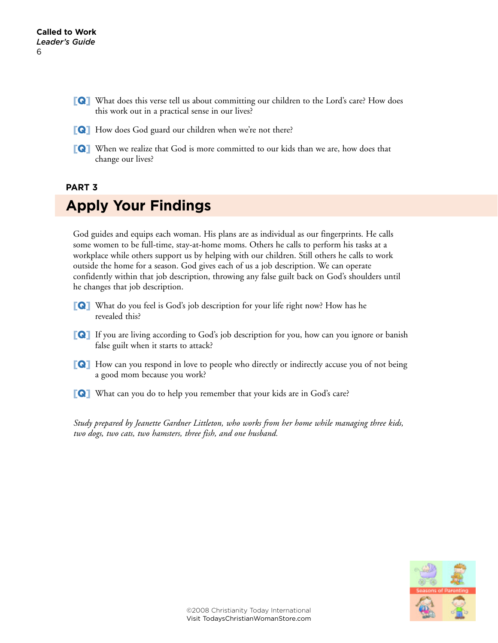- **[Q]** What does this verse tell us about committing our children to the Lord's care? How does this work out in a practical sense in our lives?
- **[Q]** How does God guard our children when we're not there?
- **[Q]** When we realize that God is more committed to our kids than we are, how does that change our lives?

### **PART 3**

## **Apply Your Findings**

God guides and equips each woman. His plans are as individual as our fingerprints. He calls some women to be full-time, stay-at-home moms. Others he calls to perform his tasks at a workplace while others support us by helping with our children. Still others he calls to work outside the home for a season. God gives each of us a job description. We can operate confidently within that job description, throwing any false guilt back on God's shoulders until he changes that job description.

- **[Q]** What do you feel is God's job description for your life right now? How has he revealed this?
- **[Q]** If you are living according to God's job description for you, how can you ignore or banish false guilt when it starts to attack?
- **[Q]** How can you respond in love to people who directly or indirectly accuse you of not being a good mom because you work?
- **[Q]** What can you do to help you remember that your kids are in God's care?

*Study prepared by Jeanette Gardner Littleton, who works from her home while managing three kids, two dogs, two cats, two hamsters, three fish, and one husband.*

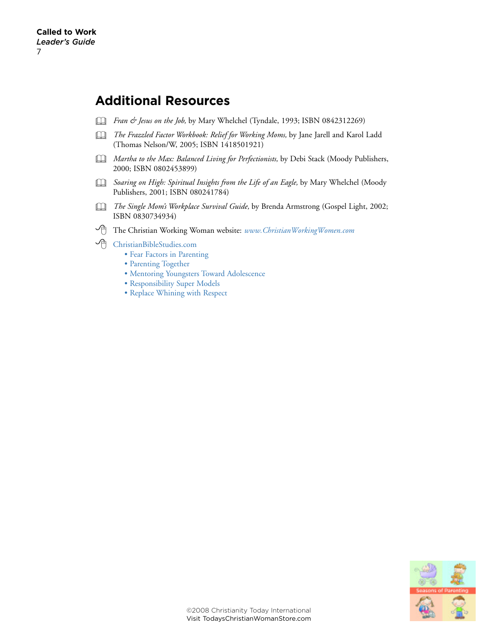## **Additional Resources**

- & *Fran & Jesus on the Job,* by Mary Whelchel (Tyndale, 1993; ISBN 0842312269)
- & *The Frazzled Factor Workbook: Relief for Working Moms,* by Jane Jarell and Karol Ladd (Thomas Nelson/W, 2005; ISBN 1418501921)
- & *Martha to the Max: Balanced Living for Perfectionists,* by Debi Stack (Moody Publishers, 2000; ISBN 0802453899)
- & *Soaring on High: Spiritual Insights from the Life of an Eagle,* by Mary Whelchel (Moody Publishers, 2001; ISBN 080241784)
- & *The Single Mom's Workplace Survival Guide,* by Brenda Armstrong (Gospel Light, 2002; ISBN 0830734934)
- 8 The Christian Working Woman website: *[www.ChristianWorkingWomen.com](http://www.christianworkingwomen.com/)*
- 8 [ChristianBibleStudies.com](http://www.christianitytoday.com/biblestudies)
	- [Fear Factors in Parenting](http://biblestudies.stores.yahoo.net/fefainpa.html)
	- [Parenting Together](http://biblestudies.stores.yahoo.net/pato.html)
	- [Mentoring Youngsters Toward Adolescence](http://biblestudies.stores.yahoo.net/meyotoadne.html)
	- [Responsibility Super Models](http://biblestudies.stores.yahoo.net/resumone.html)
	- [Replace Whining with Respect](http://biblestudies.stores.yahoo.net/rewhwirene.html)

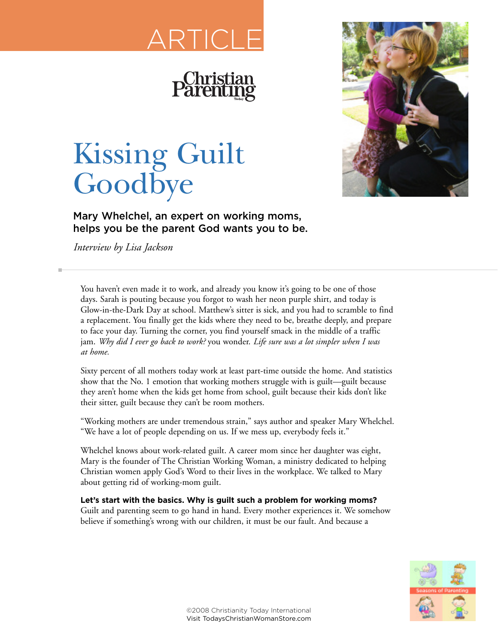# ARTICLE



## Kissing Guilt **Goodbye**

**Mary Whelchel, an expert on working moms, helps you be the parent God wants you to be.**

*Interview by Lisa Jackson*

You haven't even made it to work, and already you know it's going to be one of those days. Sarah is pouting because you forgot to wash her neon purple shirt, and today is Glow-in-the-Dark Day at school. Matthew's sitter is sick, and you had to scramble to find a replacement. You finally get the kids where they need to be, breathe deeply, and prepare to face your day. Turning the corner, you find yourself smack in the middle of a traffic jam. *Why did I ever go back to work?* you wonder. *Life sure was a lot simpler when I was at home.*

Sixty percent of all mothers today work at least part-time outside the home. And statistics show that the No. 1 emotion that working mothers struggle with is guilt—guilt because they aren't home when the kids get home from school, guilt because their kids don't like their sitter, guilt because they can't be room mothers.

"Working mothers are under tremendous strain," says author and speaker Mary Whelchel. "We have a lot of people depending on us. If we mess up, everybody feels it."

Whelchel knows about work-related guilt. A career mom since her daughter was eight, Mary is the founder of The Christian Working Woman, a ministry dedicated to helping Christian women apply God's Word to their lives in the workplace. We talked to Mary about getting rid of working-mom guilt.

### **Let's start with the basics. Why is guilt such a problem for working moms?**

Guilt and parenting seem to go hand in hand. Every mother experiences it. We somehow believe if something's wrong with our children, it must be our fault. And because a

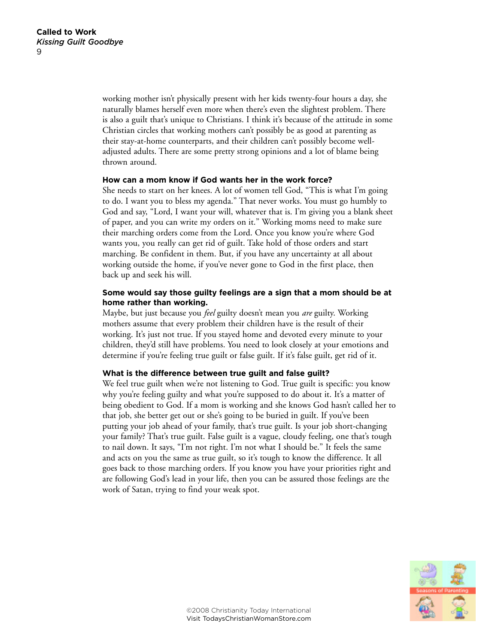working mother isn't physically present with her kids twenty-four hours a day, she naturally blames herself even more when there's even the slightest problem. There is also a guilt that's unique to Christians. I think it's because of the attitude in some Christian circles that working mothers can't possibly be as good at parenting as their stay-at-home counterparts, and their children can't possibly become welladjusted adults. There are some pretty strong opinions and a lot of blame being thrown around.

#### **How can a mom know if God wants her in the work force?**

She needs to start on her knees. A lot of women tell God, "This is what I'm going to do. I want you to bless my agenda." That never works. You must go humbly to God and say, "Lord, I want your will, whatever that is. I'm giving you a blank sheet of paper, and you can write my orders on it." Working moms need to make sure their marching orders come from the Lord. Once you know you're where God wants you, you really can get rid of guilt. Take hold of those orders and start marching. Be confident in them. But, if you have any uncertainty at all about working outside the home, if you've never gone to God in the first place, then back up and seek his will.

#### **Some would say those guilty feelings are a sign that a mom should be at home rather than working.**

Maybe, but just because you *feel* guilty doesn't mean you *are* guilty. Working mothers assume that every problem their children have is the result of their working. It's just not true. If you stayed home and devoted every minute to your children, they'd still have problems. You need to look closely at your emotions and determine if you're feeling true guilt or false guilt. If it's false guilt, get rid of it.

#### **What is the difference between true guilt and false guilt?**

We feel true guilt when we're not listening to God. True guilt is specific: you know why you're feeling guilty and what you're supposed to do about it. It's a matter of being obedient to God. If a mom is working and she knows God hasn't called her to that job, she better get out or she's going to be buried in guilt. If you've been putting your job ahead of your family, that's true guilt. Is your job short-changing your family? That's true guilt. False guilt is a vague, cloudy feeling, one that's tough to nail down. It says, "I'm not right. I'm not what I should be." It feels the same and acts on you the same as true guilt, so it's tough to know the difference. It all goes back to those marching orders. If you know you have your priorities right and are following God's lead in your life, then you can be assured those feelings are the work of Satan, trying to find your weak spot.

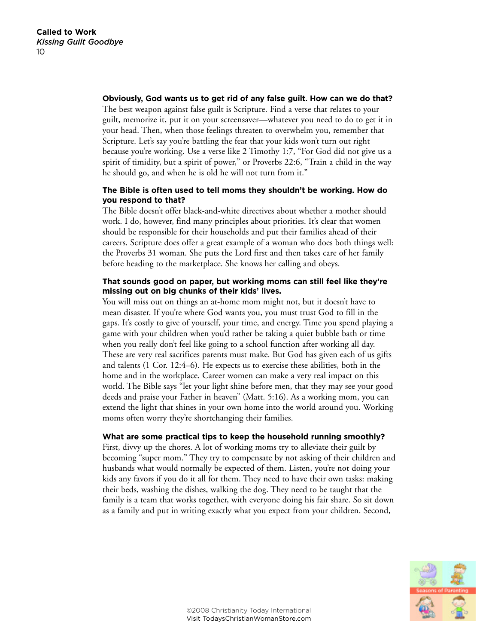#### **Obviously, God wants us to get rid of any false guilt. How can we do that?**

The best weapon against false guilt is Scripture. Find a verse that relates to your guilt, memorize it, put it on your screensaver—whatever you need to do to get it in your head. Then, when those feelings threaten to overwhelm you, remember that Scripture. Let's say you're battling the fear that your kids won't turn out right because you're working. Use a verse like 2 Timothy 1:7, "For God did not give us a spirit of timidity, but a spirit of power," or Proverbs 22:6, "Train a child in the way he should go, and when he is old he will not turn from it."

### **The Bible is often used to tell moms they shouldn't be working. How do you respond to that?**

The Bible doesn't offer black-and-white directives about whether a mother should work. I do, however, find many principles about priorities. It's clear that women should be responsible for their households and put their families ahead of their careers. Scripture does offer a great example of a woman who does both things well: the Proverbs 31 woman. She puts the Lord first and then takes care of her family before heading to the marketplace. She knows her calling and obeys.

### **That sounds good on paper, but working moms can still feel like they're missing out on big chunks of their kids' lives.**

You will miss out on things an at-home mom might not, but it doesn't have to mean disaster. If you're where God wants you, you must trust God to fill in the gaps. It's costly to give of yourself, your time, and energy. Time you spend playing a game with your children when you'd rather be taking a quiet bubble bath or time when you really don't feel like going to a school function after working all day. These are very real sacrifices parents must make. But God has given each of us gifts and talents (1 Cor. 12:4–6). He expects us to exercise these abilities, both in the home and in the workplace. Career women can make a very real impact on this world. The Bible says "let your light shine before men, that they may see your good deeds and praise your Father in heaven" (Matt. 5:16). As a working mom, you can extend the light that shines in your own home into the world around you. Working moms often worry they're shortchanging their families.

#### **What are some practical tips to keep the household running smoothly?**

First, divvy up the chores. A lot of working moms try to alleviate their guilt by becoming "super mom." They try to compensate by not asking of their children and husbands what would normally be expected of them. Listen, you're not doing your kids any favors if you do it all for them. They need to have their own tasks: making their beds, washing the dishes, walking the dog. They need to be taught that the family is a team that works together, with everyone doing his fair share. So sit down as a family and put in writing exactly what you expect from your children. Second,